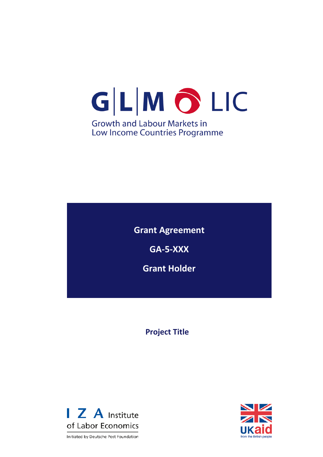# GLMOLIC **Growth and Labour Markets in** Low Income Countries Programme

**Grant Agreement GA-5-XXX**

**Grant Holder**

**Project Title**



Initiated by Deutsche Post Foundation

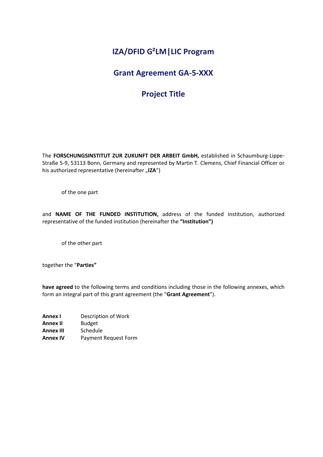# **IZA/DFID G²LM|LIC Program**

## **Grant Agreement GA-5-XXX**

# **Project Title**

The **FORSCHUNGSINSTITUT ZUR ZUKUNFT DER ARBEIT GmbH,** established in Schaumburg-Lippe-Straße 5-9, 53113 Bonn, Germany and represented by Martin T. Clemens, Chief Financial Officer or his authorized representative (hereinafter "IZA")

of the one part

and **NAME OF THE FUNDED INSTITUTION,** address of the funded institution, authorized representative of the funded institution (hereinafter the **"Institution")**

of the other part

together the "**Parties"**

**have agreed** to the following terms and conditions including those in the following annexes, which form an integral part of this grant agreement (the "**Grant Agreement**").

**Annex I** Description of Work **Annex II** Budget **Annex III** Schedule **Annex IV** Payment Request Form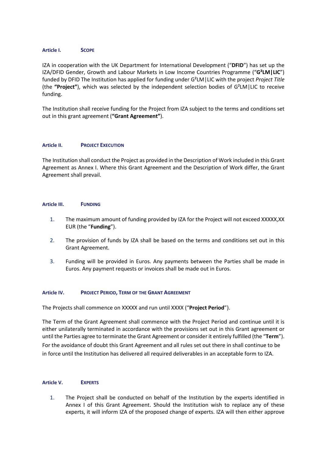#### **Article I. SCOPE**

IZA in cooperation with the UK Department for International Development ("**DFID**") has set up the IZA/DFID Gender, Growth and Labour Markets in Low Income Countries Programme ("**G²LM|LIC**") funded by DFID The Institution has applied for funding under G²LM|LIC with the project *Project Title* (the **"Project"**), which was selected by the independent selection bodies of G²LM|LIC to receive funding.

The Institution shall receive funding for the Project from IZA subject to the terms and conditions set out in this grant agreement (**"Grant Agreement"**).

#### **Article II. PROJECT EXECUTION**

The Institution shall conduct the Project as provided in the Description of Work included in this Grant Agreement as Annex I. Where this Grant Agreement and the Description of Work differ, the Grant Agreement shall prevail.

#### **Article III. FUNDING**

- 1. The maximum amount of funding provided by IZA for the Project will not exceed XXXXX,XX EUR (the "**Funding**").
- 2. The provision of funds by IZA shall be based on the terms and conditions set out in this Grant Agreement.
- 3. Funding will be provided in Euros. Any payments between the Parties shall be made in Euros. Any payment requests or invoices shall be made out in Euros.

#### **Article IV. PROJECT PERIOD, TERM OF THE GRANT AGREEMENT**

The Projects shall commence on XXXXX and run until XXXX ("**Project Period**").

The Term of the Grant Agreement shall commence with the Project Period and continue until it is either unilaterally terminated in accordance with the provisions set out in this Grant agreement or until the Parties agree to terminate the Grant Agreement or consider it entirely fulfilled (the "**Term**"). For the avoidance of doubt this Grant Agreement and all rules set out there in shall continue to be in force until the Institution has delivered all required deliverables in an acceptable form to IZA.

#### **Article V. EXPERTS**

1. The Project shall be conducted on behalf of the Institution by the experts identified in Annex I of this Grant Agreement. Should the Institution wish to replace any of these experts, it will inform IZA of the proposed change of experts. IZA will then either approve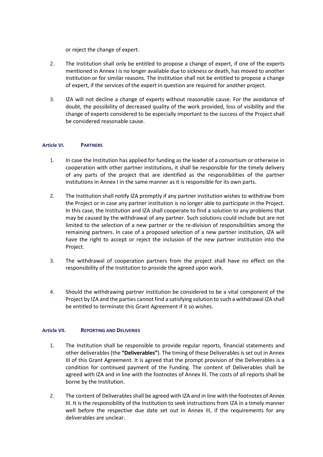or reject the change of expert.

- 2. The Institution shall only be entitled to propose a change of expert, if one of the experts mentioned in Annex I is no longer available due to sickness or death, has moved to another institution or for similar reasons. The Institution shall not be entitled to propose a change of expert, if the services of the expert in question are required for another project.
- 3. IZA will not decline a change of experts without reasonable cause. For the avoidance of doubt, the possibility of decreased quality of the work provided, loss of visibility and the change of experts considered to be especially important to the success of the Project shall be considered reasonable cause.

#### **Article VI. PARTNERS**

- 1. In case the Institution has applied for funding as the leader of a consortium or otherwise in cooperation with other partner institutions, it shall be responsible for the timely delivery of any parts of the project that are identified as the responsibilities of the partner institutions in Annex I in the same manner as it is responsible for its own parts.
- 2. The Institution shall notify IZA promptly if any partner institution wishes to withdraw from the Project or in case any partner institution is no longer able to participate in the Project. In this case, the Institution and IZA shall cooperate to find a solution to any problems that may be caused by the withdrawal of any partner. Such solutions could include but are not limited to the selection of a new partner or the re-division of responsibilities among the remaining partners. In case of a proposed selection of a new partner institution, IZA will have the right to accept or reject the inclusion of the new partner institution into the Project.
- 3. The withdrawal of cooperation partners from the project shall have no effect on the responsibility of the Institution to provide the agreed upon work.
- 4. Should the withdrawing partner institution be considered to be a vital component of the Project by IZA and the parties cannot find a satisfying solution to such a withdrawal IZA shall be entitled to terminate this Grant Agreement if it so wishes.

#### **Article VII. REPORTING AND DELIVERIES**

- 1. The Institution shall be responsible to provide regular reports, financial statements and other deliverables (the **"Deliverables"**). The timing of these Deliverables is set out in Annex III of this Grant Agreement. It is agreed that the prompt provision of the Deliverables is a condition for continued payment of the Funding. The content of Deliverables shall be agreed with IZA and in line with the footnotes of Annex III. The costs of all reports shall be borne by the Institution.
- 2. The content of Deliverables shall be agreed with IZA and in line with the footnotes of Annex III. It is the responsibility of the Institution to seek instructions from IZA in a timely manner well before the respective due date set out in Annex III, if the requirements for any deliverables are unclear.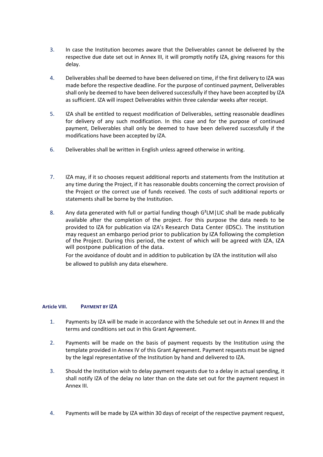- 3. In case the Institution becomes aware that the Deliverables cannot be delivered by the respective due date set out in Annex III, it will promptly notify IZA, giving reasons for this delay.
- 4. Deliverables shall be deemed to have been delivered on time, if the first delivery to IZA was made before the respective deadline. For the purpose of continued payment, Deliverables shall only be deemed to have been delivered successfully if they have been accepted by IZA as sufficient. IZA will inspect Deliverables within three calendar weeks after receipt.
- 5. IZA shall be entitled to request modification of Deliverables, setting reasonable deadlines for delivery of any such modification. In this case and for the purpose of continued payment, Deliverables shall only be deemed to have been delivered successfully if the modifications have been accepted by IZA.
- 6. Deliverables shall be written in English unless agreed otherwise in writing.
- 7. IZA may, if it so chooses request additional reports and statements from the Institution at any time during the Project, if it has reasonable doubts concerning the correct provision of the Project or the correct use of funds received. The costs of such additional reports or statements shall be borne by the Institution.
- 8. Any data generated with full or partial funding though G<sup>2</sup>LM | LIC shall be made publically available after the completion of the project. For this purpose the data needs to be provided to IZA for publication via IZA's Research Data Center (IDSC). The institution may request an embargo period prior to publication by IZA following the completion of the Project. During this period, the extent of which will be agreed with IZA, IZA will postpone publication of the data.

For the avoidance of doubt and in addition to publication by IZA the institution will also be allowed to publish any data elsewhere.

#### **Article VIII. PAYMENT BY IZA**

- 1. Payments by IZA will be made in accordance with the Schedule set out in Annex III and the terms and conditions set out in this Grant Agreement.
- 2. Payments will be made on the basis of payment requests by the Institution using the template provided in Annex IV of this Grant Agreement. Payment requests must be signed by the legal representative of the Institution by hand and delivered to IZA.
- 3. Should the Institution wish to delay payment requests due to a delay in actual spending, it shall notify IZA of the delay no later than on the date set out for the payment request in Annex III.
- 4. Payments will be made by IZA within 30 days of receipt of the respective payment request,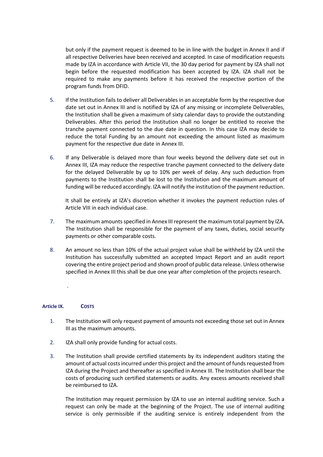but only if the payment request is deemed to be in line with the budget in Annex II and if all respective Deliveries have been received and accepted. In case of modification requests made by IZA in accordance with Article VII, the 30 day period for payment by IZA shall not begin before the requested modification has been accepted by IZA. IZA shall not be required to make any payments before it has received the respective portion of the program funds from DFID.

- 5. If the Institution fails to deliver all Deliverables in an acceptable form by the respective due date set out in Annex III and is notified by IZA of any missing or incomplete Deliverables, the Institution shall be given a maximum of sixty calendar days to provide the outstanding Deliverables. After this period the Institution shall no longer be entitled to receive the tranche payment connected to the due date in question. In this case IZA may decide to reduce the total Funding by an amount not exceeding the amount listed as maximum payment for the respective due date in Annex III.
- 6. If any Deliverable is delayed more than four weeks beyond the delivery date set out in Annex III, IZA may reduce the respective tranche payment connected to the delivery date for the delayed Deliverable by up to 10% per week of delay. Any such deduction from payments to the Institution shall be lost to the Institution and the maximum amount of funding will be reduced accordingly. IZA will notify the institution of the payment reduction.

It shall be entirely at IZA's discretion whether it invokes the payment reduction rules of Article VIII in each individual case.

- 7. The maximum amounts specified in Annex III represent the maximum total payment by IZA. The Institution shall be responsible for the payment of any taxes, duties, social security payments or other comparable costs.
- 8. An amount no less than 10% of the actual project value shall be withheld by IZA until the Institution has successfully submitted an accepted Impact Report and an audit report covering the entire project period and shown proof of public data release. Unless otherwise specified in Annex III this shall be due one year after completion of the projects research.

#### **Article IX. COSTS**

.

- 1. The Institution will only request payment of amounts not exceeding those set out in Annex III as the maximum amounts.
- 2. IZA shall only provide funding for actual costs.
- 3. The Institution shall provide certified statements by its independent auditors stating the amount of actual costs incurred under this project and the amount of funds requested from IZA during the Project and thereafter as specified in Annex III. The Institution shall bear the costs of producing such certified statements or audits. Any excess amounts received shall be reimbursed to IZA.

The Institution may request permission by IZA to use an internal auditing service. Such a request can only be made at the beginning of the Project. The use of internal auditing service is only permissible if the auditing service is entirely independent from the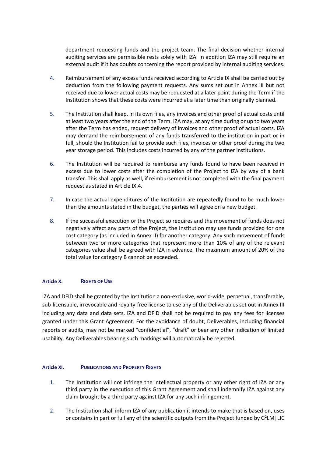department requesting funds and the project team. The final decision whether internal auditing services are permissible rests solely with IZA. In addition IZA may still require an external audit if it has doubts concerning the report provided by internal auditing services.

- 4. Reimbursement of any excess funds received according to Article IX shall be carried out by deduction from the following payment requests. Any sums set out in Annex III but not received due to lower actual costs may be requested at a later point during the Term if the Institution shows that these costs were incurred at a later time than originally planned.
- 5. The Institution shall keep, in its own files, any invoices and other proof of actual costs until at least two years after the end of the Term. IZA may, at any time during or up to two years after the Term has ended, request delivery of invoices and other proof of actual costs. IZA may demand the reimbursement of any funds transferred to the institution in part or in full, should the Institution fail to provide such files, invoices or other proof during the two year storage period. This includes costs incurred by any of the partner institutions.
- 6. The Institution will be required to reimburse any funds found to have been received in excess due to lower costs after the completion of the Project to IZA by way of a bank transfer. This shall apply as well, if reimbursement is not completed with the final payment request as stated in Article IX.4.
- 7. In case the actual expenditures of the Institution are repeatedly found to be much lower than the amounts stated in the budget, the parties will agree on a new budget.
- 8. If the successful execution or the Project so requires and the movement of funds does not negatively affect any parts of the Project, the Institution may use funds provided for one cost category (as included in Annex II) for another category. Any such movement of funds between two or more categories that represent more than 10% of any of the relevant categories value shall be agreed with IZA in advance. The maximum amount of 20% of the total value for category B cannot be exceeded.

#### **Article X. RIGHTS OF USE**

IZA and DFID shall be granted by the Institution a non-exclusive, world-wide, perpetual, transferable, sub-licensable, irrevocable and royalty-free license to use any of the Deliverables set out in Annex III including any data and data sets. IZA and DFID shall not be required to pay any fees for licenses granted under this Grant Agreement. For the avoidance of doubt, Deliverables, including financial reports or audits, may not be marked "confidential", "draft" or bear any other indication of limited usability. Any Deliverables bearing such markings will automatically be rejected.

#### **Article XI. PUBLICATIONS AND PROPERTY RIGHTS**

- 1. The Institution will not infringe the intellectual property or any other right of IZA or any third party in the execution of this Grant Agreement and shall indemnify IZA against any claim brought by a third party against IZA for any such infringement.
- 2. The Institution shall inform IZA of any publication it intends to make that is based on, uses or contains in part or full any of the scientific outputs from the Project funded by G²LM|LIC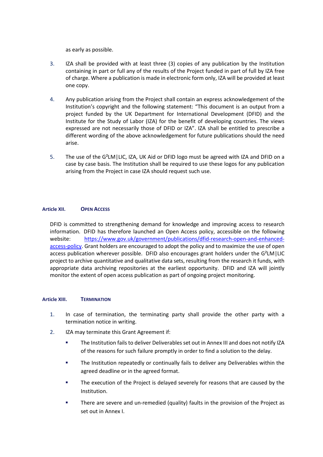as early as possible.

- 3. IZA shall be provided with at least three (3) copies of any publication by the Institution containing in part or full any of the results of the Project funded in part of full by IZA free of charge. Where a publication is made in electronic form only, IZA will be provided at least one copy.
- 4. Any publication arising from the Project shall contain an express acknowledgement of the Institution's copyright and the following statement: "This document is an output from a project funded by the UK Department for International Development (DFID) and the Institute for the Study of Labor (IZA) for the benefit of developing countries. The views expressed are not necessarily those of DFID or IZA". IZA shall be entitled to prescribe a different wording of the above acknowledgement for future publications should the need arise.
- 5. The use of the G<sup>2</sup>LM | LIC, IZA, UK Aid or DFID logo must be agreed with IZA and DFID on a case by case basis. The Institution shall be required to use these logos for any publication arising from the Project in case IZA should request such use.

#### **Article XII. OPEN ACCESS**

DFID is committed to strengthening demand for knowledge and improving access to research information. DFID has therefore launched an Open Access policy, accessible on the following website: [https://www.gov.uk/government/publications/dfid-research-open-and-enhanced](https://www.gov.uk/government/publications/dfid-research-open-and-enhanced-access-policy)[access-policy.](https://www.gov.uk/government/publications/dfid-research-open-and-enhanced-access-policy) Grant holders are encouraged to adopt the policy and to maximize the use of open access publication wherever possible. DFID also encourages grant holders under the G²LM|LIC project to archive quantitative and qualitative data sets, resulting from the research it funds, with appropriate data archiving repositories at the earliest opportunity. DFID and IZA will jointly monitor the extent of open access publication as part of ongoing project monitoring.

#### **Article XIII. TERMINATION**

- 1. In case of termination, the terminating party shall provide the other party with a termination notice in writing.
- 2. IZA may terminate this Grant Agreement if:
	- The Institution fails to deliver Deliverables set out in Annex III and does not notify IZA of the reasons for such failure promptly in order to find a solution to the delay.
	- **The Institution repeatedly or continually fails to deliver any Deliverables within the** agreed deadline or in the agreed format.
	- The execution of the Project is delayed severely for reasons that are caused by the Institution.
	- **There are severe and un-remedied (quality) faults in the provision of the Project as** set out in Annex I.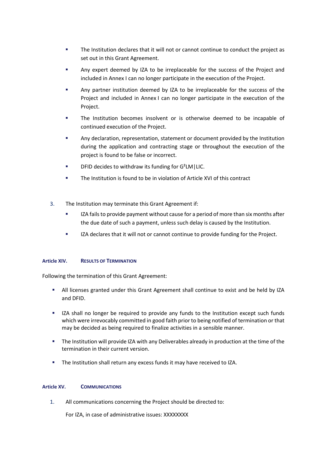- The Institution declares that it will not or cannot continue to conduct the project as set out in this Grant Agreement.
- Any expert deemed by IZA to be irreplaceable for the success of the Project and included in Annex I can no longer participate in the execution of the Project.
- Any partner institution deemed by IZA to be irreplaceable for the success of the Project and included in Annex I can no longer participate in the execution of the Project.
- The Institution becomes insolvent or is otherwise deemed to be incapable of continued execution of the Project.
- Any declaration, representation, statement or document provided by the Institution during the application and contracting stage or throughout the execution of the project is found to be false or incorrect.
- DFID decides to withdraw its funding for G²LM|LIC.
- The Institution is found to be in violation of Article XVI of this contract
- 3. The Institution may terminate this Grant Agreement if:
	- **IZA fails to provide payment without cause for a period of more than six months after** the due date of such a payment, unless such delay is caused by the Institution.
	- **IZA declares that it will not or cannot continue to provide funding for the Project.**

#### **Article XIV. RESULTS OF TERMINATION**

Following the termination of this Grant Agreement:

- All licenses granted under this Grant Agreement shall continue to exist and be held by IZA and DFID.
- IZA shall no longer be required to provide any funds to the Institution except such funds which were irrevocably committed in good faith prior to being notified of termination or that may be decided as being required to finalize activities in a sensible manner.
- The Institution will provide IZA with any Deliverables already in production at the time of the termination in their current version.
- **The Institution shall return any excess funds it may have received to IZA.**

#### **Article XV. COMMUNICATIONS**

1. All communications concerning the Project should be directed to:

For IZA, in case of administrative issues: XXXXXXXX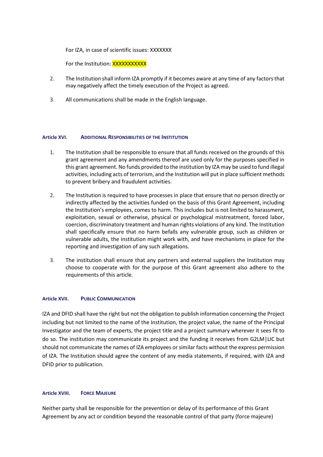For IZA, in case of scientific issues: XXXXXXX

For the Institution: **XXXXXXXXXXX** 

- 2. The Institution shall inform IZA promptly if it becomes aware at any time of any factors that may negatively affect the timely execution of the Project as agreed.
- 3. All communications shall be made in the English language.

#### **Article XVI. ADDITIONAL RESPONSIBILITIES OF THE INSTITUTION**

- 1. The Institution shall be responsible to ensure that all funds received on the grounds of this grant agreement and any amendments thereof are used only for the purposes specified in this grant agreement. No funds provided to the institution by IZA may be used to fund illegal activities, including acts of terrorism, and the Institution will put in place sufficient methods to prevent bribery and fraudulent activities.
- 2. The Institution is required to have processes in place that ensure that no person directly or indirectly affected by the activities funded on the basis of this Grant Agreement, including the Institution's employees, comes to harm. This includes but is not limited to harassment, exploitation, sexual or otherwise, physical or psychological mistreatment, forced labor, coercion, discriminatory treatment and human rights violations of any kind. The Institution shall specifically ensure that no harm befalls any vulnerable group, such as children or vulnerable adults, the institution might work with, and have mechanisms in place for the reporting and investigation of any such allegations.
- 3. The institution shall ensure that any partners and external suppliers the Institution may choose to cooperate with for the purpose of this Grant agreement also adhere to the requirements of this article.

#### **Article XVII. PUBLIC COMMUNICATION**

IZA and DFID shall have the right but not the obligation to publish information concerning the Project including but not limited to the name of the Institution, the project value, the name of the Principal Investigator and the team of experts, the project title and a project summary wherever it sees fit to do so. The institution may communicate its project and the funding it receives from G2LM|LIC but should not communicate the names of IZA employees or similar facts without the express permission of IZA. The Institution should agree the content of any media statements, if required, with IZA and DFID prior to publication.

#### **Article XVIII. FORCE MAJEURE**

Neither party shall be responsible for the prevention or delay of its performance of this Grant Agreement by any act or condition beyond the reasonable control of that party (force majeure)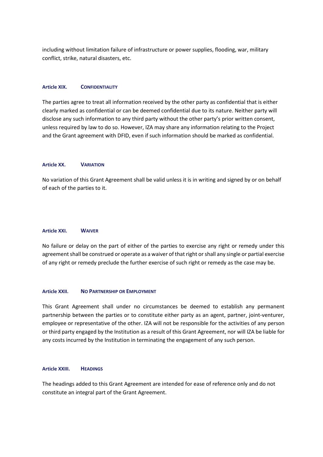including without limitation failure of infrastructure or power supplies, flooding, war, military conflict, strike, natural disasters, etc.

#### **Article XIX. CONFIDENTIALITY**

The parties agree to treat all information received by the other party as confidential that is either clearly marked as confidential or can be deemed confidential due to its nature. Neither party will disclose any such information to any third party without the other party's prior written consent, unless required by law to do so. However, IZA may share any information relating to the Project and the Grant agreement with DFID, even if such information should be marked as confidential.

#### **Article XX. VARIATION**

No variation of this Grant Agreement shall be valid unless it is in writing and signed by or on behalf of each of the parties to it.

#### **Article XXI. WAIVER**

No failure or delay on the part of either of the parties to exercise any right or remedy under this agreement shall be construed or operate as a waiver of that right or shall any single or partial exercise of any right or remedy preclude the further exercise of such right or remedy as the case may be.

#### **Article XXII. NO PARTNERSHIP OR EMPLOYMENT**

This Grant Agreement shall under no circumstances be deemed to establish any permanent partnership between the parties or to constitute either party as an agent, partner, joint-venturer, employee or representative of the other. IZA will not be responsible for the activities of any person or third party engaged by the Institution as a result of this Grant Agreement, nor will IZA be liable for any costs incurred by the Institution in terminating the engagement of any such person.

#### **Article XXIII. HEADINGS**

The headings added to this Grant Agreement are intended for ease of reference only and do not constitute an integral part of the Grant Agreement.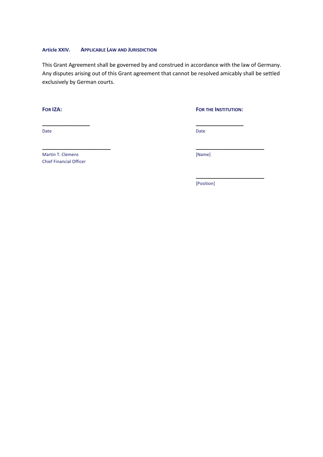#### **Article XXIV. APPLICABLE LAW AND JURISDICTION**

This Grant Agreement shall be governed by and construed in accordance with the law of Germany. Any disputes arising out of this Grant agreement that cannot be resolved amicably shall be settled exclusively by German courts.

**\_\_\_\_\_\_\_\_\_\_\_\_\_\_\_\_ \_\_\_\_\_\_\_\_\_\_\_\_\_\_\_\_**

**\_\_\_\_\_\_\_\_\_\_\_\_\_\_\_\_\_\_\_\_\_\_\_ \_\_\_\_\_\_\_\_\_\_\_\_\_\_\_\_\_\_\_\_\_\_\_**

**FOR IZA: FOR THE INSTITUTION:**

**\_\_\_\_\_\_\_\_\_\_\_\_\_\_\_\_\_\_\_\_\_\_\_**

Date **Date Date Date Date Date Date Date Date Date Date Date Date** 

Martin T. Clemens [Name] Chief Financial Officer

[Position]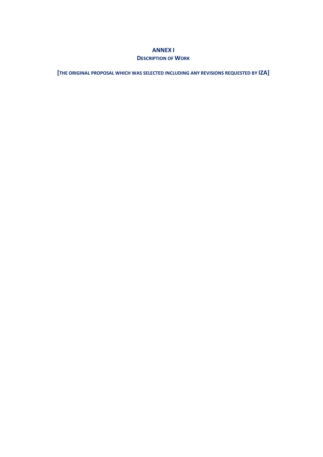#### **ANNEX I**

#### **DESCRIPTION OF WORK**

**[THE ORIGINAL PROPOSAL WHICH WAS SELECTED INCLUDING ANY REVISIONS REQUESTED BY IZA]**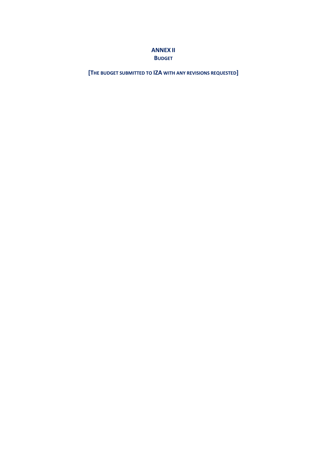### **ANNEX II BUDGET**

**[THE BUDGET SUBMITTED TO IZA WITH ANY REVISIONS REQUESTED]**